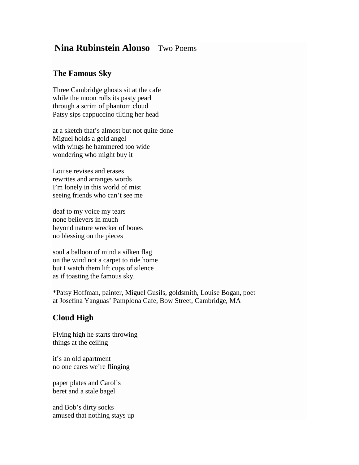## **Nina Rubinstein Alonso** – Two Poems

## **The Famous Sky**

Three Cambridge ghosts sit at the cafe while the moon rolls its pasty pearl through a scrim of phantom cloud Patsy sips cappuccino tilting her head

at a sketch that's almost but not quite done Miguel holds a gold angel with wings he hammered too wide wondering who might buy it

Louise revises and erases rewrites and arranges words I'm lonely in this world of mist seeing friends who can't see me

deaf to my voice my tears none believers in much beyond nature wrecker of bones no blessing on the pieces

soul a balloon of mind a silken flag on the wind not a carpet to ride home but I watch them lift cups of silence as if toasting the famous sky.

\*Patsy Hoffman, painter, Miguel Gusils, goldsmith, Louise Bogan, poet at Josefina Yanguas' Pamplona Cafe, Bow Street, Cambridge, MA

## **Cloud High**

Flying high he starts throwing things at the ceiling

it's an old apartment no one cares we're flinging

paper plates and Carol's beret and a stale bagel

and Bob's dirty socks amused that nothing stays up